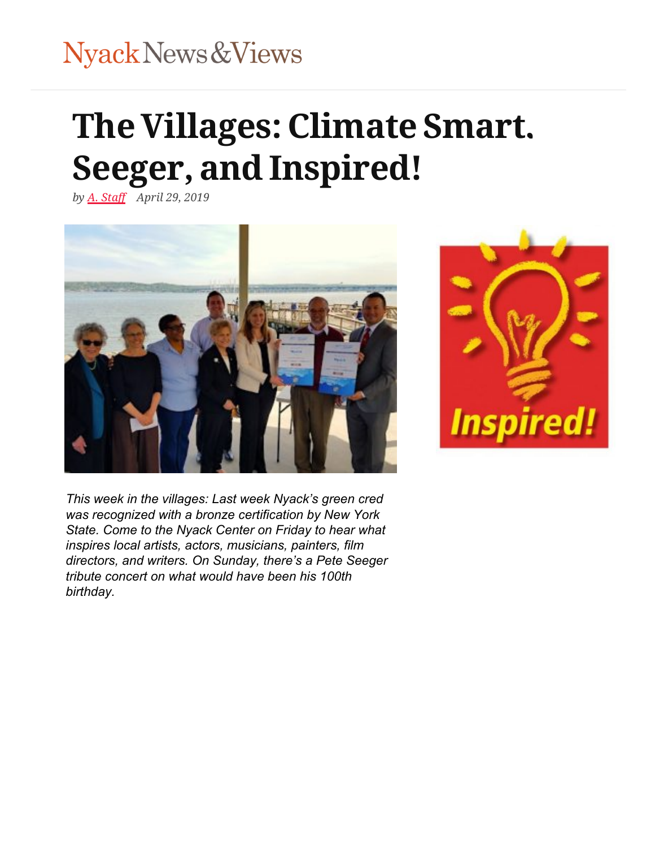# Nyack News & Views

# **[TheVillages:Clim](https://nyacknewsandviews.com/)ate Smart, [S](https://nyacknewsandviews.com/)[eeger,](https://nyacknewsandviews.com/tappan-zee-bridge-nys-thruway-traffic-cameras/) a[ndInspired](http://hudsonlinknyack.com/)[!](https://nyacknewsandviews.com/nnavcalendar-2/)**

*by y [A. Staff](https://nyacknewsandviews.com/author/a-staff/) Ap[ril 29, 2019](https://nyacknewsandviews.com/advertise/)*





*This week in the villages: Last w[eek Ny](https://www.instagram.com/)ack's green cred was recognized with a bronze certification by New York State. Come to the Nyack Center on Friday to hear what inspires local artists, actors, musicians, painters, film directors, and writers. On Sunday, there's a Pete Seeger tribute concert on what would have been his 100th birthday.*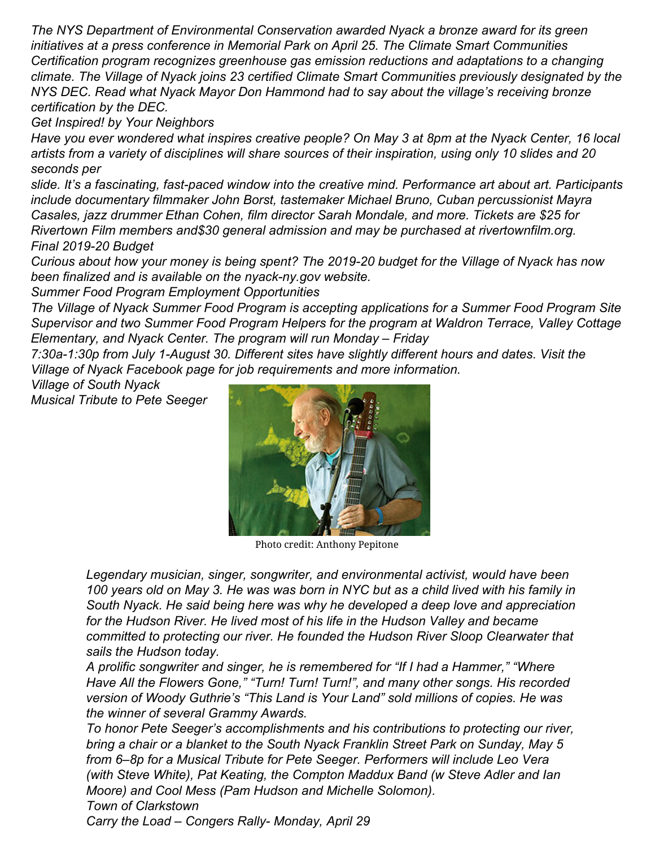*The NYS Department of Environmental Conservation awarded Nyack a bronze award for its green initiatives at a press conference in Memorial Park on April 25. The Climate Smart Communities Certification program recognizes greenhouse gas emission reductions and adaptations to a changing climate. The Village of Nyack joins 23 certified Climate Smart Communities previously designated by the NYS DEC. Read what Nyack Mayor Don Hammond had to say about the village's receiving bronze certification by the DEC.*

*Get Inspired! by Your Neighbors*

*Have you ever wondered what inspires creative people? On May 3 at 8pm at the Nyack Center, 16 local artists from a variety of disciplines will share sources of their inspiration, using only 10 slides and 20 seconds per*

*slide. It's a fascinating, fast-paced window into the creative mind. P[erformance a](https://nyack-ny.gov/prod/wp-content/uploads/2019/04/final-budget-2019-2020.pdf)rt about art. Participants include documentary filmmaker John Borst, tastemaker Michael Bruno, Cuban percussionist Mayra Casales, jazz drummer Ethan Cohen, film director Sarah Mondale, and more. Tickets are \$25 for Rivertown Film members and\$30 general admission and may be purchased at rivertownfilm.org. Final 2019-20 Budget*

*Curious about how your money is being spent? The 2019-20 budget for the Village of Nyack has now been finalized and is available on the nyack-ny.gov website.*

*Summer Food Program Employment Opportunities*

*The Village of Nyack Summer Food Program is accepting applications for a Summer Food Program Site [Super](https://web.whatsapp.com/send?text=The%20Villages%3A%20Climate%20Smart%2C%20Seeger%2C%20and%20Inspired%21%20https%3A%2F%2Fnyacknewsandviews.com%2F2019%2F04%2Fvillages-tributes-inspiration%2F)visor and two Summer Food Program Helpers for the program at Waldron Terrace, Valley Cottage Elementary, and Nyack Center. The program will run Monday – Friday*

*7:30a-1:30p from July 1-August 30. Different sites have slightly different hours and dates. Visit the Village of Nyack Facebook page for job requirements and more information.*

*Village of South Nyack Musical Tribute to Pete Seeger*



Photo credit: Anthony Pepitone

*Legendary musician, singer, songwriter, and environmental activist, would have been 100 years old on May 3. He was was born in NYC but as a child lived with his family in South Nyack. He said being here was why he developed a deep love and appreciation for the Hudson River. He lived most of his life in the Hudson Valley and became committed to protecting our river. He founded the Hudson River Sloop Clearwater that sails the Hudson today.*

*A prolific songwriter and singer, he is remembered for "If I had a Hammer," "Where Have All the Flowers Gone," "Turn! Turn! Turn!", and many other songs. His recorded version of Woody Guthrie's "This Land is Your Land" sold millions of copies. He was the winner of several Grammy Awards.*

*To honor Pete Seeger's accomplishments and his contributions to protecting our river, bring a chair or a blanket to the South Nyack Franklin Street Park on Sunday, May 5 from 6–8p for a Musical Tribute for Pete Seeger. Performers will include Leo Vera (with Steve White), Pat Keating, the Compton Maddux Band (w Steve Adler and Ian Moore) and Cool Mess (Pam Hudson and Michelle Solomon). Town of Clarkstown*

*Carry the Load – Congers Rally- Monday, April 29*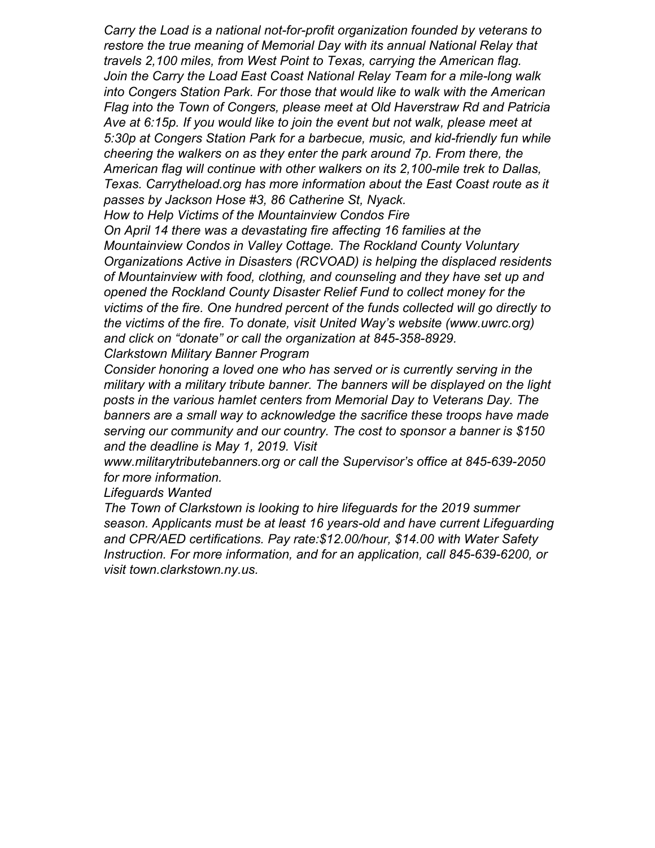*Carry the Load is a national not-for-profit organization founded by veterans to restore the true meaning of Memorial Day with its annual National Relay that travels 2,100 miles, from West Point to Texas, carrying the American flag. Join the Carry the Load East Coast National Relay Team for a mile-long walk into Congers Station Park. For those that would like to walk with the American Flag into the Town of Congers, please meet at Old Haverstraw Rd and Patricia Ave at 6:15p. If you would like to join the event but not walk, please meet at 5:30p at Congers Station Park for a barbecue, music, and kid-friendly fun while cheering the walkers on as they enter the park around 7p. From there, the American flag will continue with other walkers on its 2,100-mile trek to Dallas, Texas. Carrytheload.org has more information about the East Coast route as it passes by Jackson Hose #3, 86 Catherine St, Nyack.*

*How to Help Victims of the Mountainview Condos Fire*

*On April 14 there was a devastating fire affecting 16 families at the Mountainview Condos in Valley Cottage. The Rockland County Voluntary Organizations Active in Disasters (RCVOAD) is helping the displaced residents of Mountainview with food, clothing, and counseling and they have set up and opened the Rockland County Disaster Relief Fund to collect money for the victims of the fire. One hundred percent of the funds collected will go directly to the victims of the fire. To donate, visit United Way's website (www.uwrc.org) and click on "donate" or call the organization at 845-358-8929. Clarkstown Military Banner Program*

*Consider honoring a loved one who has served or is currently serving in the military with a military tribute banner. The banners will be displayed on the light posts in the various hamlet centers from Memorial Day to Veterans Day. The banners are a small way to acknowledge the sacrifice these troops have made serving our community and our country. The cost to sponsor a banner is \$150 and the deadline is May 1, 2019. Visit*

*www.militarytributebanners.org or call the Supervisor's office at 845-639-2050 for more information.*

#### *Lifeguards Wanted*

*The Town of Clarkstown is looking to hire lifeguards for the 2019 summer season. Applicants must be at least 16 years-old and have current Lifeguarding and CPR/AED certifications. Pay rate:\$12.00/hour, \$14.00 with Water Safety Instruction. For more information, and for an application, call 845-639-6200, or visit town.clarkstown.ny.us.*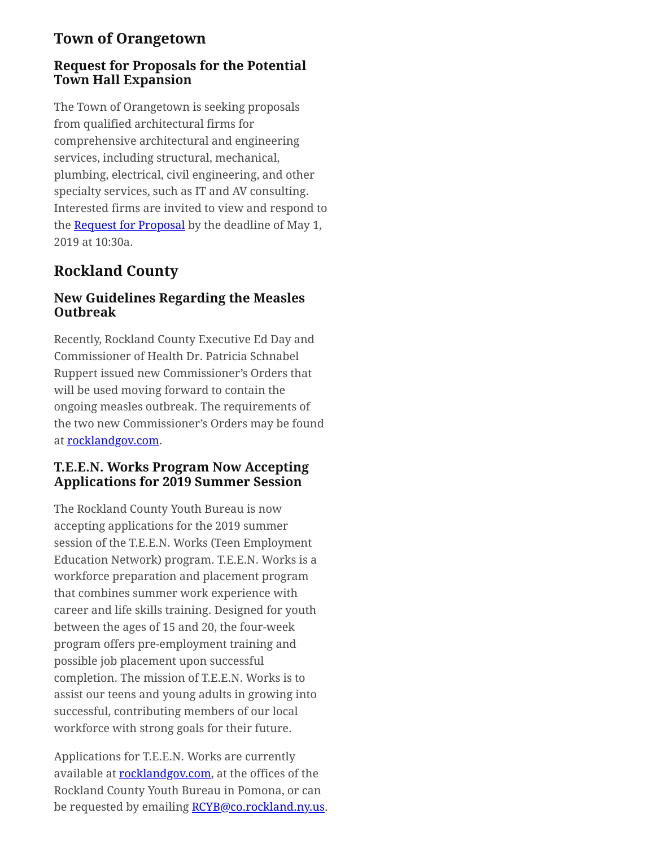# **Town of Orangetown**

#### **Request for Proposals for the Potential Town Hall Expansion**

The Town of Orangetown is seeking proposals from qualified architectural firms for comprehensive architectural and engineering services, including structural, mechanical, plumbing, electrical, civil engineering, and other specialty services, such as IT and AV consulting. Interested firms are invited to view and respond to the **Request for Proposal** by the deadline of May 1, 2019 at 10:30a.

# **Rockland County**

#### **New Guidelines Regarding the Measles Outbreak**

[Re](https://web.whatsapp.com/send?text=The%20Villages%3A%20Climate%20Smart%2C%20Seeger%2C%20and%20Inspired%21%20https%3A%2F%2Fnyacknewsandviews.com%2F2019%2F04%2Fvillages-tributes-inspiration%2F)cently, Rockland County Executive Ed Day and Commissioner of Health Dr. Patricia Schnabel Ruppert issued new Commissioner's Orders that will be used moving forward to contain the ongoing measles outbreak. The requirements of the two new Commissioner's Orders may be found at [rocklandgov.com.](http://rocklandgov.com/departments/county-executive/press-releases/2019-press-releases/new-commissioners-orders-issued/)

#### **T.E.E.N. Works Program Now Accepting Applications for 2019 Summer Session**

The Rockland County Youth Bureau is now accepting applications for the 2019 summer session of the T.E.E.N. Works (Teen Employment Education Network) program. T.E.E.N. Works is a workforce preparation and placement program that combines summer work experience with career and life skills training. Designed for youth between the ages of 15 and 20, the four-week program offers pre-employment training and possible job placement upon successful completion. The mission of T.E.E.N. Works is to assist our teens and young adults in growing into successful, contributing members of our local workforce with strong goals for their future.

Applications for T.E.E.N. Works are currently available at [rocklandgov.com,](http://rocklandgov.com/files/8215/5431/6544/TEEN_Works.pdf) at the offices of the Rockland County Youth Bureau in Pomona, or can be requested by emailing [RCYB@co.rockland.ny.us](mailto:RCYB@co.rockland.ny.us).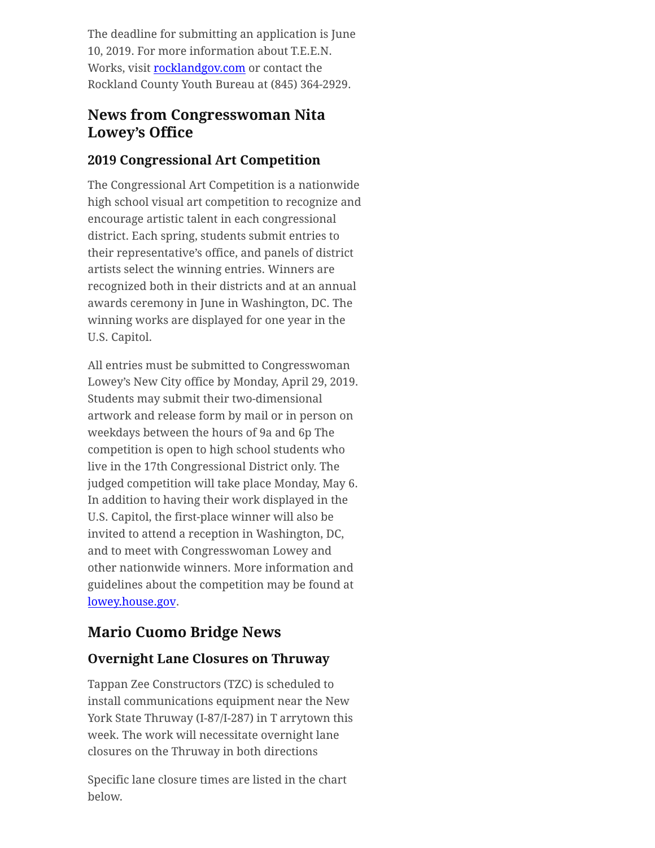The deadline for submitting an application is June 10, 2019. For more information about T.E.E.N. Works, visit [rocklandgov.com](http://rocklandgov.com/departments/youth-bureau/) or contact the Rockland County Youth Bureau at (845) 364-2929.

# **News from Congresswoman Nita Lowey's Office**

#### **2019 Congressional Art Competition**

The Congressional Art Competition is a nationwide high school visual art competition to recognize and encourage artistic talent in each congressional district. Each spring, students submit entries to their representative's office, and panels of district artists select the winning entries. Winners are recognized both in their districts and at an annual awards ceremony in June in Washington, DC. The winning works are displayed for one year in the U.S. Capitol.

All entries must be submitted to Congresswoman Lowey's New City office by Monday, April 29, 2019. Students may submit their two-dimensional artwork and release form by mail or in person on weekdays between the hours of 9a and 6p The competition is open to high school students who live in the 17th Congressional District only. The judged competition will take place Monday, May 6. In addition to having their work displayed in the U.S. Capitol, the first-place winner will also be invited to attend a reception in Washington, DC, and to meet with Congresswoman Lowey and other nationwide winners. More information and guidelines about the competition may be found at [lowey.house.gov.](https://lowey.house.gov/constituent-services/students/congressional-art-competition)

# **Mario Cuomo Bridge News**

# **Overnight Lane Closures on Thruway**

Tappan Zee Constructors (TZC) is scheduled to install communications equipment near the New York State Thruway (I-87/I-287) in T arrytown this week. The work will necessitate overnight lane closures on the Thruway in both directions

Specific lane closure times are listed in the chart below.